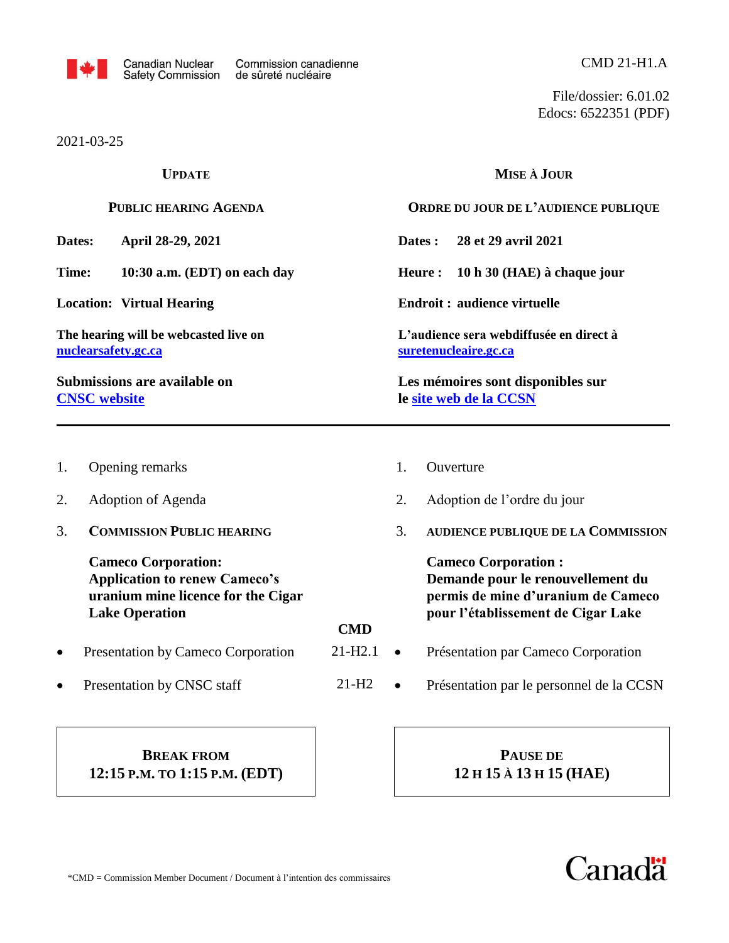

2021-03-25

File/dossier: 6.01.02 Edocs: 6522351 (PDF)

| <b>UPDATE</b><br><b>PUBLIC HEARING AGENDA</b>                                                    |                                                                                                                                   |             | MISE À JOUR                                  |                                                                                                                                             |  |  |
|--------------------------------------------------------------------------------------------------|-----------------------------------------------------------------------------------------------------------------------------------|-------------|----------------------------------------------|---------------------------------------------------------------------------------------------------------------------------------------------|--|--|
|                                                                                                  |                                                                                                                                   |             |                                              | ORDRE DU JOUR DE L'AUDIENCE PUBLIQUE                                                                                                        |  |  |
| Dates:<br>April 28-29, 2021                                                                      |                                                                                                                                   |             |                                              | 28 et 29 avril 2021<br>Dates :                                                                                                              |  |  |
| Time:<br>10:30 a.m. (EDT) on each day                                                            |                                                                                                                                   |             | <b>Heure:</b><br>10 h 30 (HAE) à chaque jour |                                                                                                                                             |  |  |
| <b>Location: Virtual Hearing</b><br>The hearing will be webcasted live on<br>nuclearsafety.gc.ca |                                                                                                                                   |             |                                              | <b>Endroit: audience virtuelle</b><br>L'audience sera webdiffusée en direct à<br>suretenucleaire.gc.ca                                      |  |  |
|                                                                                                  |                                                                                                                                   |             |                                              |                                                                                                                                             |  |  |
| 1.                                                                                               | Opening remarks                                                                                                                   |             | 1.                                           | Ouverture                                                                                                                                   |  |  |
| 2.                                                                                               | Adoption of Agenda                                                                                                                |             | 2.                                           | Adoption de l'ordre du jour                                                                                                                 |  |  |
| 3.                                                                                               | <b>COMMISSION PUBLIC HEARING</b>                                                                                                  |             | 3.                                           | AUDIENCE PUBLIQUE DE LA COMMISSION                                                                                                          |  |  |
|                                                                                                  | <b>Cameco Corporation:</b><br><b>Application to renew Cameco's</b><br>uranium mine licence for the Cigar<br><b>Lake Operation</b> | <b>CMD</b>  |                                              | <b>Cameco Corporation:</b><br>Demande pour le renouvellement du<br>permis de mine d'uranium de Cameco<br>pour l'établissement de Cigar Lake |  |  |
| $\bullet$                                                                                        | Presentation by Cameco Corporation                                                                                                | $21 - H2.1$ | $\bullet$                                    | Présentation par Cameco Corporation                                                                                                         |  |  |
| $\bullet$                                                                                        | Presentation by CNSC staff                                                                                                        | $21-H2$     | $\bullet$                                    | Présentation par le personnel de la CCSN                                                                                                    |  |  |
|                                                                                                  |                                                                                                                                   |             |                                              |                                                                                                                                             |  |  |

## **BREAK FROM 12:15 P.M. TO 1:15 P.M. (EDT)**

**PAUSE DE 12 H 15 À 13 H 15 (HAE)**

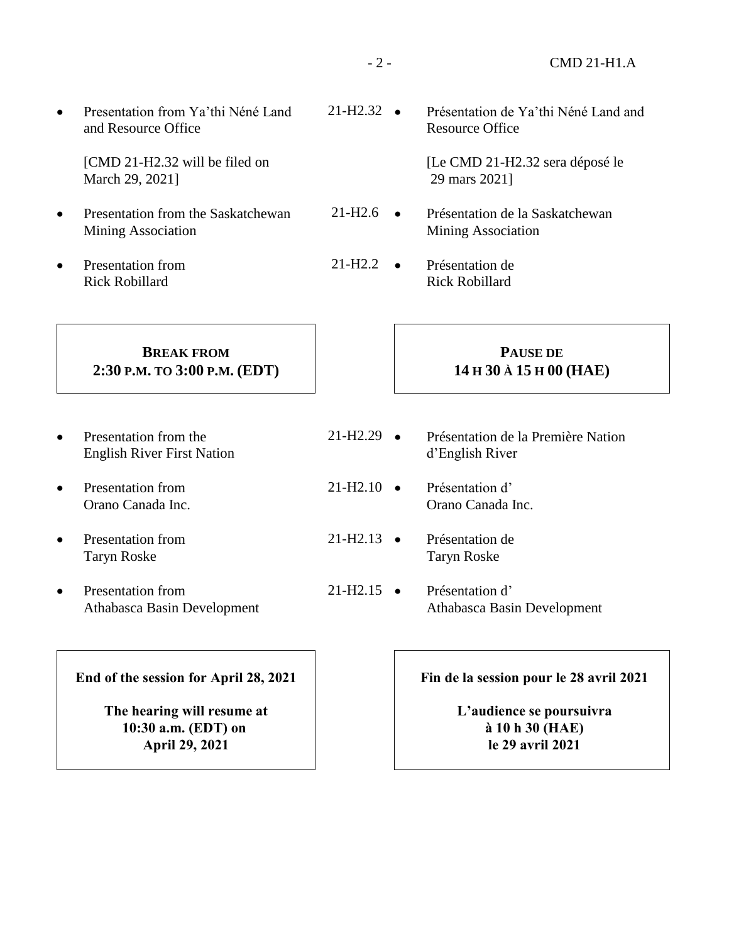• Presentation from Ya'thi Néné Land and Resource Office

> [CMD 21-H2.32 will be filed on March 29, 2021]

- Presentation from the Saskatchewan Mining Association
- Presentation from Rick Robillard

 $21-H2.32$   $\bullet$  Présentation de Ya'thi Néné Land and Resource Office

> [Le CMD 21-H2.32 sera déposé le 29 mars 2021]

- $21-H2.6$   $\bullet$  Présentation de la Saskatchewan Mining Association
- $21-H2.2$   $\bullet$  Présentation de Rick Robillard

## **BREAK FROM 2:30 P.M. TO 3:00 P.M. (EDT)**

- Presentation from the English River First Nation
- Presentation from Orano Canada Inc.
- Presentation from Taryn Roske
- Presentation from Athabasca Basin Development

**End of the session for April 28, 2021**

**The hearing will resume at 10:30 a.m. (EDT) on April 29, 2021**

## **PAUSE DE 14 H 30 À 15 H 00 (HAE)**

- $21-H2.29$   $\bullet$  Présentation de la Première Nation d'English River
- $21-H2.10$   $\bullet$  Présentation d' Orano Canada Inc.
- $21-H2.13$   $\bullet$  Présentation de Taryn Roske
- $21-H2.15$   $\bullet$  Présentation d' Athabasca Basin Development

**Fin de la session pour le 28 avril 2021**

**L'audience se poursuivra à 10 h 30 (HAE) le 29 avril 2021**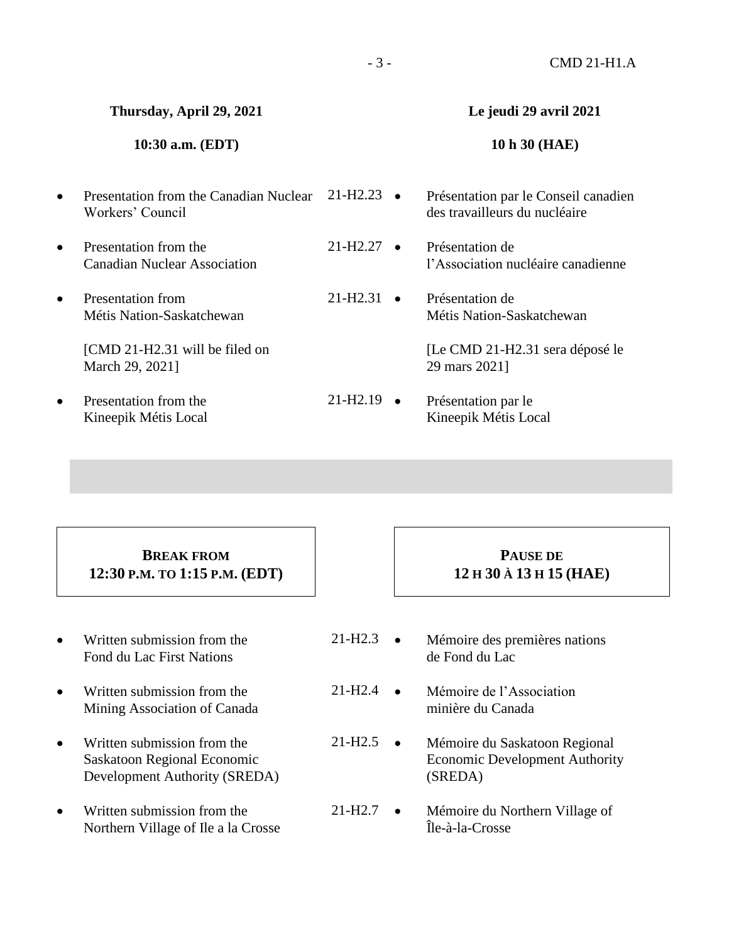#### - 3 - CMD 21-H1.A

#### **Thursday, April 29, 2021**

### **10:30 a.m. (EDT)**

- Presentation from the Canadian Nuclear 21-H2.23 Workers' Council
- Presentation from the Canadian Nuclear Association
- Presentation from Métis Nation-Saskatchewan

[CMD 21-H2.31 will be filed on March 29, 2021]

 Presentation from the Kineepik Métis Local

## **Le jeudi 29 avril 2021**

#### **10 h 30 (HAE)**

- Présentation par le Conseil canadien des travailleurs du nucléaire
- $21-H2.27$   $\bullet$  Présentation de l'Association nucléaire canadienne
- $21-H2.31$   $\bullet$  Présentation de Métis Nation-Saskatchewan

[Le CMD 21-H2.31 sera déposé le 29 mars 2021]

 $21-H2.19$   $\bullet$  Présentation par le Kineepik Métis Local

## **BREAK FROM 12:30 P.M. TO 1:15 P.M. (EDT)**

- Written submission from the Fond du Lac First Nations
- Written submission from the Mining Association of Canada
- Written submission from the Saskatoon Regional Economic Development Authority (SREDA)
- Written submission from the Northern Village of Ile a la Crosse

## **PAUSE DE 12 H 30 À 13 H 15 (HAE)**

- $21-H2.3$   $\bullet$  Mémoire des premières nations de Fond du Lac
- $21-H2.4$   $\bullet$  Mémoire de l'Association minière du Canada
- $21-H2.5$   $\bullet$  Mémoire du Saskatoon Regional Economic Development Authority (SREDA)
- $21-H2.7$   $\bullet$  Mémoire du Northern Village of Île-à-la-Crosse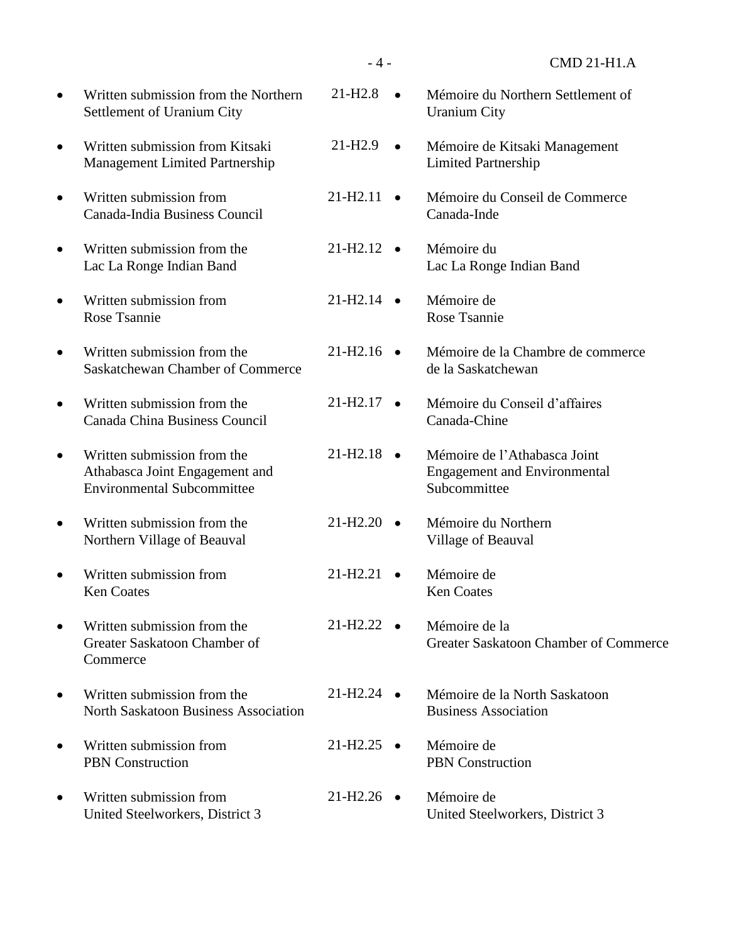|           | Written submission from the Northern<br>Settlement of Uranium City                                 | $21 - H2.8$                       | Mémoire du Northern Settlement of<br><b>Uranium City</b>                            |
|-----------|----------------------------------------------------------------------------------------------------|-----------------------------------|-------------------------------------------------------------------------------------|
| $\bullet$ | Written submission from Kitsaki<br>Management Limited Partnership                                  | $21 - H2.9$<br>$\bullet$          | Mémoire de Kitsaki Management<br><b>Limited Partnership</b>                         |
| $\bullet$ | Written submission from<br>Canada-India Business Council                                           | $21 - H2.11$<br>$\bullet$         | Mémoire du Conseil de Commerce<br>Canada-Inde                                       |
|           | Written submission from the<br>Lac La Ronge Indian Band                                            | $21-H2.12$ $\bullet$              | Mémoire du<br>Lac La Ronge Indian Band                                              |
|           | Written submission from<br>Rose Tsannie                                                            | 21-H <sub>2.14</sub>              | Mémoire de<br>Rose Tsannie                                                          |
|           | Written submission from the<br>Saskatchewan Chamber of Commerce                                    | $21-H2.16$ •                      | Mémoire de la Chambre de commerce<br>de la Saskatchewan                             |
| $\bullet$ | Written submission from the<br>Canada China Business Council                                       | $21-H2.17$ $\bullet$              | Mémoire du Conseil d'affaires<br>Canada-Chine                                       |
| $\bullet$ | Written submission from the<br>Athabasca Joint Engagement and<br><b>Environmental Subcommittee</b> | $21-H2.18$ $\bullet$              | Mémoire de l'Athabasca Joint<br><b>Engagement and Environmental</b><br>Subcommittee |
|           | Written submission from the<br>Northern Village of Beauval                                         | $21 - H2.20$                      | Mémoire du Northern<br>Village of Beauval                                           |
| ٠         | Written submission from<br><b>Ken Coates</b>                                                       | 21-H <sub>2.21</sub><br>$\bullet$ | Mémoire de<br><b>Ken Coates</b>                                                     |
| $\bullet$ | Written submission from the<br>Greater Saskatoon Chamber of<br>Commerce                            | $21-H2.22$ $\bullet$              | Mémoire de la<br>Greater Saskatoon Chamber of Commerce                              |
|           | Written submission from the<br><b>North Saskatoon Business Association</b>                         | $21-H2.24$ $\bullet$              | Mémoire de la North Saskatoon<br><b>Business Association</b>                        |
| $\bullet$ | Written submission from<br><b>PBN</b> Construction                                                 | $21-H2.25$ •                      | Mémoire de<br><b>PBN</b> Construction                                               |
| ٠         | Written submission from<br>United Steelworkers, District 3                                         | $21-H2.26$ $\bullet$              | Mémoire de<br>United Steelworkers, District 3                                       |